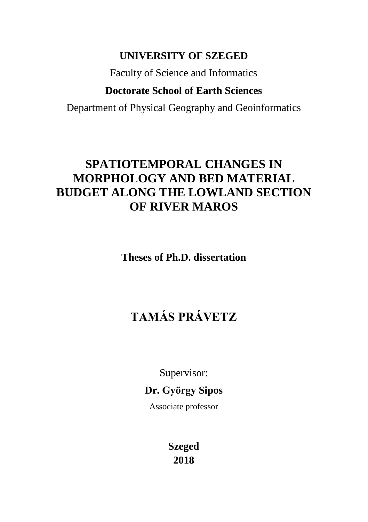## **UNIVERSITY OF SZEGED**

Faculty of Science and Informatics

## **Doctorate School of Earth Sciences**

Department of Physical Geography and Geoinformatics

## **SPATIOTEMPORAL CHANGES IN MORPHOLOGY AND BED MATERIAL BUDGET ALONG THE LOWLAND SECTION OF RIVER MAROS**

**Theses of Ph.D. dissertation**

# **TAMÁS PRÁVETZ**

Supervisor:

**Dr. György Sipos**

Associate professor

**Szeged 2018**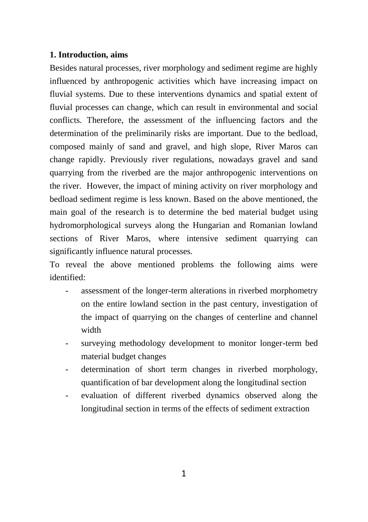#### **1. Introduction, aims**

Besides natural processes, river morphology and sediment regime are highly influenced by anthropogenic activities which have increasing impact on fluvial systems. Due to these interventions dynamics and spatial extent of fluvial processes can change, which can result in environmental and social conflicts. Therefore, the assessment of the influencing factors and the determination of the preliminarily risks are important. Due to the bedload, composed mainly of sand and gravel, and high slope, River Maros can change rapidly. Previously river regulations, nowadays gravel and sand quarrying from the riverbed are the major anthropogenic interventions on the river. However, the impact of mining activity on river morphology and bedload sediment regime is less known. Based on the above mentioned, the main goal of the research is to determine the bed material budget using hydromorphological surveys along the Hungarian and Romanian lowland sections of River Maros, where intensive sediment quarrying can significantly influence natural processes.

To reveal the above mentioned problems the following aims were identified:

- assessment of the longer-term alterations in riverbed morphometry on the entire lowland section in the past century, investigation of the impact of quarrying on the changes of centerline and channel width
- surveying methodology development to monitor longer-term bed material budget changes
- determination of short term changes in riverbed morphology, quantification of bar development along the longitudinal section
- evaluation of different riverbed dynamics observed along the longitudinal section in terms of the effects of sediment extraction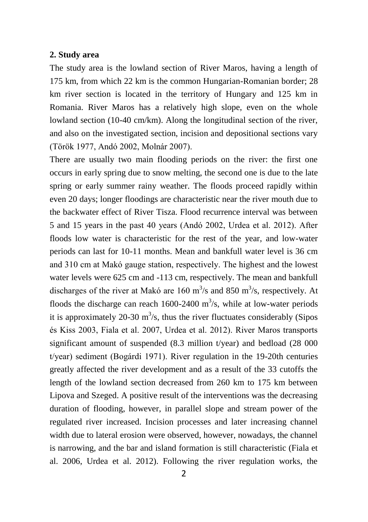#### **2. Study area**

The study area is the lowland section of River Maros, having a length of 175 km, from which 22 km is the common Hungarian-Romanian border; 28 km river section is located in the territory of Hungary and 125 km in Romania. River Maros has a relatively high slope, even on the whole lowland section (10-40 cm/km). Along the longitudinal section of the river, and also on the investigated section, incision and depositional sections vary (Török 1977, Andó 2002, Molnár 2007).

There are usually two main flooding periods on the river: the first one occurs in early spring due to snow melting, the second one is due to the late spring or early summer rainy weather. The floods proceed rapidly within even 20 days; longer floodings are characteristic near the river mouth due to the backwater effect of River Tisza. Flood recurrence interval was between 5 and 15 years in the past 40 years (Andó 2002, Urdea et al. 2012). After floods low water is characteristic for the rest of the year, and low-water periods can last for 10-11 months. Mean and bankfull water level is 36 cm and 310 cm at Makó gauge station, respectively. The highest and the lowest water levels were 625 cm and -113 cm, respectively. The mean and bankfull discharges of the river at Makó are 160 m<sup>3</sup>/s and 850 m<sup>3</sup>/s, respectively. At floods the discharge can reach  $1600-2400$  m<sup>3</sup>/s, while at low-water periods it is approximately 20-30  $m^3/s$ , thus the river fluctuates considerably (Sipos és Kiss 2003, Fiala et al. 2007, Urdea et al. 2012). River Maros transports significant amount of suspended (8.3 million t/year) and bedload (28 000 t/year) sediment (Bogárdi 1971). River regulation in the 19-20th centuries greatly affected the river development and as a result of the 33 cutoffs the length of the lowland section decreased from 260 km to 175 km between Lipova and Szeged. A positive result of the interventions was the decreasing duration of flooding, however, in parallel slope and stream power of the regulated river increased. Incision processes and later increasing channel width due to lateral erosion were observed, however, nowadays, the channel is narrowing, and the bar and island formation is still characteristic (Fiala et al. 2006, Urdea et al. 2012). Following the river regulation works, the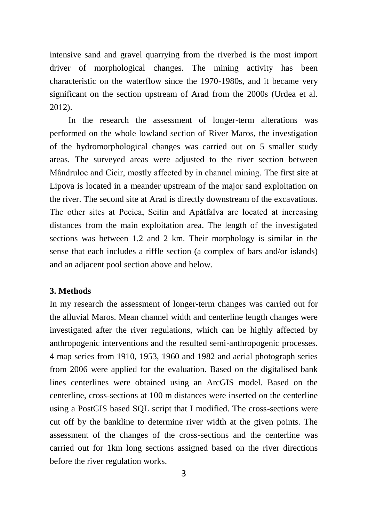intensive sand and gravel quarrying from the riverbed is the most import driver of morphological changes. The mining activity has been characteristic on the waterflow since the 1970-1980s, and it became very significant on the section upstream of Arad from the 2000s (Urdea et al. 2012).

In the research the assessment of longer-term alterations was performed on the whole lowland section of River Maros, the investigation of the hydromorphological changes was carried out on 5 smaller study areas. The surveyed areas were adjusted to the river section between Mândruloc and Cicir, mostly affected by in channel mining. The first site at Lipova is located in a meander upstream of the major sand exploitation on the river. The second site at Arad is directly downstream of the excavations. The other sites at Pecica, Seitin and Apátfalva are located at increasing distances from the main exploitation area. The length of the investigated sections was between 1.2 and 2 km. Their morphology is similar in the sense that each includes a riffle section (a complex of bars and/or islands) and an adjacent pool section above and below.

#### **3. Methods**

In my research the assessment of longer-term changes was carried out for the alluvial Maros. Mean channel width and centerline length changes were investigated after the river regulations, which can be highly affected by anthropogenic interventions and the resulted semi-anthropogenic processes. 4 map series from 1910, 1953, 1960 and 1982 and aerial photograph series from 2006 were applied for the evaluation. Based on the digitalised bank lines centerlines were obtained using an ArcGIS model. Based on the centerline, cross-sections at 100 m distances were inserted on the centerline using a PostGIS based SQL script that I modified. The cross-sections were cut off by the bankline to determine river width at the given points. The assessment of the changes of the cross-sections and the centerline was carried out for 1km long sections assigned based on the river directions before the river regulation works.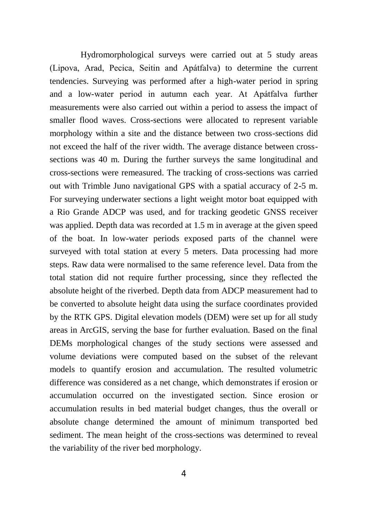Hydromorphological surveys were carried out at 5 study areas (Lipova, Arad, Pecica, Seitin and Apátfalva) to determine the current tendencies. Surveying was performed after a high-water period in spring and a low-water period in autumn each year. At Apátfalva further measurements were also carried out within a period to assess the impact of smaller flood waves. Cross-sections were allocated to represent variable morphology within a site and the distance between two cross-sections did not exceed the half of the river width. The average distance between crosssections was 40 m. During the further surveys the same longitudinal and cross-sections were remeasured. The tracking of cross-sections was carried out with Trimble Juno navigational GPS with a spatial accuracy of 2-5 m. For surveying underwater sections a light weight motor boat equipped with a Rio Grande ADCP was used, and for tracking geodetic GNSS receiver was applied. Depth data was recorded at 1.5 m in average at the given speed of the boat. In low-water periods exposed parts of the channel were surveyed with total station at every 5 meters. Data processing had more steps. Raw data were normalised to the same reference level. Data from the total station did not require further processing, since they reflected the absolute height of the riverbed. Depth data from ADCP measurement had to be converted to absolute height data using the surface coordinates provided by the RTK GPS. Digital elevation models (DEM) were set up for all study areas in ArcGIS, serving the base for further evaluation. Based on the final DEMs morphological changes of the study sections were assessed and volume deviations were computed based on the subset of the relevant models to quantify erosion and accumulation. The resulted volumetric difference was considered as a net change, which demonstrates if erosion or accumulation occurred on the investigated section. Since erosion or accumulation results in bed material budget changes, thus the overall or absolute change determined the amount of minimum transported bed sediment. The mean height of the cross-sections was determined to reveal the variability of the river bed morphology.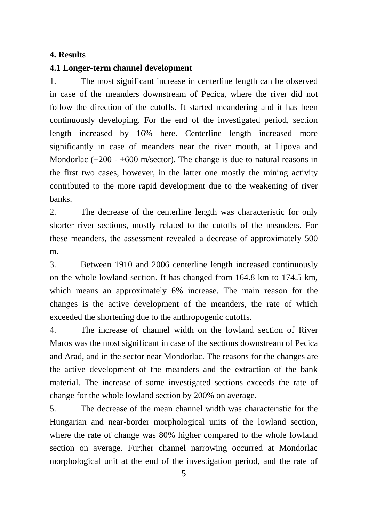#### **4. Results**

#### **4.1 Longer-term channel development**

1. The most significant increase in centerline length can be observed in case of the meanders downstream of Pecica, where the river did not follow the direction of the cutoffs. It started meandering and it has been continuously developing. For the end of the investigated period, section length increased by 16% here. Centerline length increased more significantly in case of meanders near the river mouth, at Lipova and Mondorlac  $(+200 - +600)$  m/sector). The change is due to natural reasons in the first two cases, however, in the latter one mostly the mining activity contributed to the more rapid development due to the weakening of river banks.

2. The decrease of the centerline length was characteristic for only shorter river sections, mostly related to the cutoffs of the meanders. For these meanders, the assessment revealed a decrease of approximately 500 m.

3. Between 1910 and 2006 centerline length increased continuously on the whole lowland section. It has changed from 164.8 km to 174.5 km, which means an approximately 6% increase. The main reason for the changes is the active development of the meanders, the rate of which exceeded the shortening due to the anthropogenic cutoffs.

4. The increase of channel width on the lowland section of River Maros was the most significant in case of the sections downstream of Pecica and Arad, and in the sector near Mondorlac. The reasons for the changes are the active development of the meanders and the extraction of the bank material. The increase of some investigated sections exceeds the rate of change for the whole lowland section by 200% on average.

5. The decrease of the mean channel width was characteristic for the Hungarian and near-border morphological units of the lowland section, where the rate of change was 80% higher compared to the whole lowland section on average. Further channel narrowing occurred at Mondorlac morphological unit at the end of the investigation period, and the rate of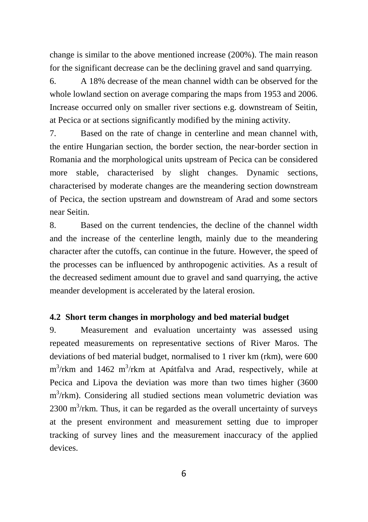change is similar to the above mentioned increase (200%). The main reason for the significant decrease can be the declining gravel and sand quarrying.

6. A 18% decrease of the mean channel width can be observed for the whole lowland section on average comparing the maps from 1953 and 2006. Increase occurred only on smaller river sections e.g. downstream of Seitin, at Pecica or at sections significantly modified by the mining activity.

7. Based on the rate of change in centerline and mean channel with, the entire Hungarian section, the border section, the near-border section in Romania and the morphological units upstream of Pecica can be considered more stable, characterised by slight changes. Dynamic sections, characterised by moderate changes are the meandering section downstream of Pecica, the section upstream and downstream of Arad and some sectors near Seitin.

8. Based on the current tendencies, the decline of the channel width and the increase of the centerline length, mainly due to the meandering character after the cutoffs, can continue in the future. However, the speed of the processes can be influenced by anthropogenic activities. As a result of the decreased sediment amount due to gravel and sand quarrying, the active meander development is accelerated by the lateral erosion.

#### **4.2 Short term changes in morphology and bed material budget**

9. Measurement and evaluation uncertainty was assessed using repeated measurements on representative sections of River Maros. The deviations of bed material budget, normalised to 1 river km (rkm), were 600 m<sup>3</sup>/rkm and 1462 m<sup>3</sup>/rkm at Apátfalva and Arad, respectively, while at Pecica and Lipova the deviation was more than two times higher (3600 m<sup>3</sup>/rkm). Considering all studied sections mean volumetric deviation was  $2300 \text{ m}^3/\text{rkm}$ . Thus, it can be regarded as the overall uncertainty of surveys at the present environment and measurement setting due to improper tracking of survey lines and the measurement inaccuracy of the applied devices.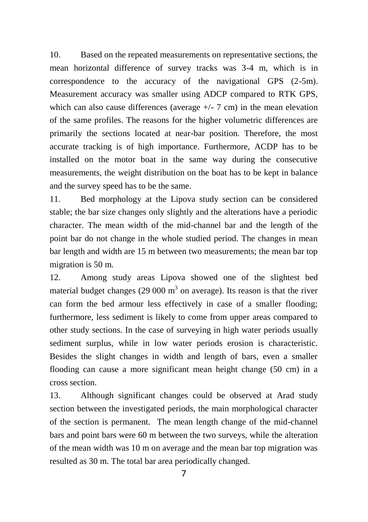10. Based on the repeated measurements on representative sections, the mean horizontal difference of survey tracks was 3-4 m, which is in correspondence to the accuracy of the navigational GPS (2-5m). Measurement accuracy was smaller using ADCP compared to RTK GPS, which can also cause differences (average  $+/-$  7 cm) in the mean elevation of the same profiles. The reasons for the higher volumetric differences are primarily the sections located at near-bar position. Therefore, the most accurate tracking is of high importance. Furthermore, ACDP has to be installed on the motor boat in the same way during the consecutive measurements, the weight distribution on the boat has to be kept in balance and the survey speed has to be the same.

11. Bed morphology at the Lipova study section can be considered stable; the bar size changes only slightly and the alterations have a periodic character. The mean width of the mid-channel bar and the length of the point bar do not change in the whole studied period. The changes in mean bar length and width are 15 m between two measurements; the mean bar top migration is 50 m.

12. Among study areas Lipova showed one of the slightest bed material budget changes (29 000  $m<sup>3</sup>$  on average). Its reason is that the river can form the bed armour less effectively in case of a smaller flooding; furthermore, less sediment is likely to come from upper areas compared to other study sections. In the case of surveying in high water periods usually sediment surplus, while in low water periods erosion is characteristic. Besides the slight changes in width and length of bars, even a smaller flooding can cause a more significant mean height change (50 cm) in a cross section.

13. Although significant changes could be observed at Arad study section between the investigated periods, the main morphological character of the section is permanent. The mean length change of the mid-channel bars and point bars were 60 m between the two surveys, while the alteration of the mean width was 10 m on average and the mean bar top migration was resulted as 30 m. The total bar area periodically changed.

7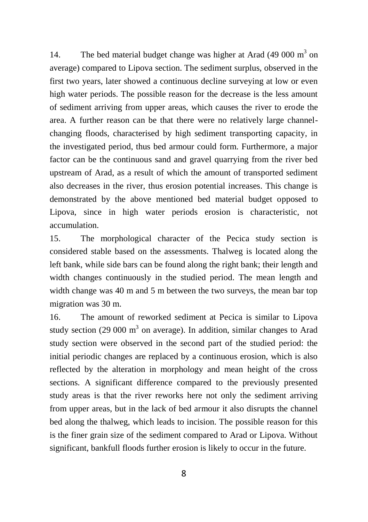14. The bed material budget change was higher at Arad  $(49 000 \text{ m}^3 \text{ on } 1)$ average) compared to Lipova section. The sediment surplus, observed in the first two years, later showed a continuous decline surveying at low or even high water periods. The possible reason for the decrease is the less amount of sediment arriving from upper areas, which causes the river to erode the area. A further reason can be that there were no relatively large channelchanging floods, characterised by high sediment transporting capacity, in the investigated period, thus bed armour could form. Furthermore, a major factor can be the continuous sand and gravel quarrying from the river bed upstream of Arad, as a result of which the amount of transported sediment also decreases in the river, thus erosion potential increases. This change is demonstrated by the above mentioned bed material budget opposed to Lipova, since in high water periods erosion is characteristic, not accumulation.

15. The morphological character of the Pecica study section is considered stable based on the assessments. Thalweg is located along the left bank, while side bars can be found along the right bank; their length and width changes continuously in the studied period. The mean length and width change was 40 m and 5 m between the two surveys, the mean bar top migration was 30 m.

16. The amount of reworked sediment at Pecica is similar to Lipova study section (29 000  $m<sup>3</sup>$  on average). In addition, similar changes to Arad study section were observed in the second part of the studied period: the initial periodic changes are replaced by a continuous erosion, which is also reflected by the alteration in morphology and mean height of the cross sections. A significant difference compared to the previously presented study areas is that the river reworks here not only the sediment arriving from upper areas, but in the lack of bed armour it also disrupts the channel bed along the thalweg, which leads to incision. The possible reason for this is the finer grain size of the sediment compared to Arad or Lipova. Without significant, bankfull floods further erosion is likely to occur in the future.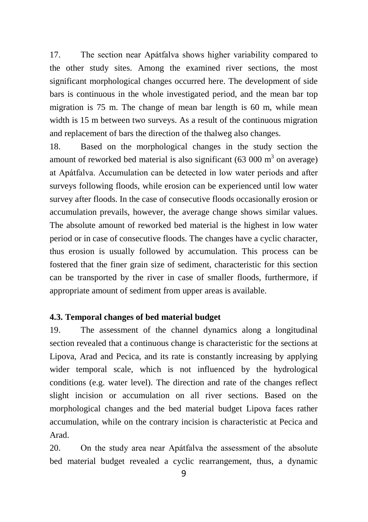17. The section near Apátfalva shows higher variability compared to the other study sites. Among the examined river sections, the most significant morphological changes occurred here. The development of side bars is continuous in the whole investigated period, and the mean bar top migration is 75 m. The change of mean bar length is 60 m, while mean width is 15 m between two surveys. As a result of the continuous migration and replacement of bars the direction of the thalweg also changes.

18. Based on the morphological changes in the study section the amount of reworked bed material is also significant  $(63\ 000\ \text{m}^3)$  on average) at Apátfalva. Accumulation can be detected in low water periods and after surveys following floods, while erosion can be experienced until low water survey after floods. In the case of consecutive floods occasionally erosion or accumulation prevails, however, the average change shows similar values. The absolute amount of reworked bed material is the highest in low water period or in case of consecutive floods. The changes have a cyclic character, thus erosion is usually followed by accumulation. This process can be fostered that the finer grain size of sediment, characteristic for this section can be transported by the river in case of smaller floods, furthermore, if appropriate amount of sediment from upper areas is available.

#### **4.3. Temporal changes of bed material budget**

19. The assessment of the channel dynamics along a longitudinal section revealed that a continuous change is characteristic for the sections at Lipova, Arad and Pecica, and its rate is constantly increasing by applying wider temporal scale, which is not influenced by the hydrological conditions (e.g. water level). The direction and rate of the changes reflect slight incision or accumulation on all river sections. Based on the morphological changes and the bed material budget Lipova faces rather accumulation, while on the contrary incision is characteristic at Pecica and Arad.

20. On the study area near Apátfalva the assessment of the absolute bed material budget revealed a cyclic rearrangement, thus, a dynamic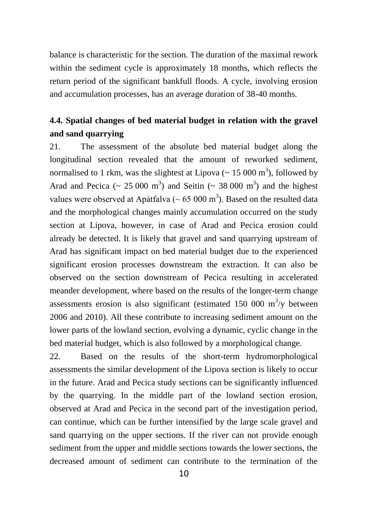balance is characteristic for the section. The duration of the maximal rework within the sediment cycle is approximately 18 months, which reflects the return period of the significant bankfull floods. A cycle, involving erosion and accumulation processes, has an average duration of 38-40 months.

### **4.4. Spatial changes of bed material budget in relation with the gravel and sand quarrying**

21. The assessment of the absolute bed material budget along the longitudinal section revealed that the amount of reworked sediment, normalised to 1 rkm, was the slightest at Lipova ( $\sim 15000 \text{ m}^3$ ), followed by Arad and Pecica ( $\sim 25000 \text{ m}^3$ ) and Seitin ( $\sim 38000 \text{ m}^3$ ) and the highest values were observed at Apátfalva ( $\sim 65,000 \text{ m}^3$ ). Based on the resulted data and the morphological changes mainly accumulation occurred on the study section at Lipova, however, in case of Arad and Pecica erosion could already be detected. It is likely that gravel and sand quarrying upstream of Arad has significant impact on bed material budget due to the experienced significant erosion processes downstream the extraction. It can also be observed on the section downstream of Pecica resulting in accelerated meander development, where based on the results of the longer-term change assessments erosion is also significant (estimated 150 000  $\mathrm{m}^3/\mathrm{y}$  between 2006 and 2010). All these contribute to increasing sediment amount on the lower parts of the lowland section, evolving a dynamic, cyclic change in the bed material budget, which is also followed by a morphological change.

22. Based on the results of the short-term hydromorphological assessments the similar development of the Lipova section is likely to occur in the future. Arad and Pecica study sections can be significantly influenced by the quarrying. In the middle part of the lowland section erosion, observed at Arad and Pecica in the second part of the investigation period, can continue, which can be further intensified by the large scale gravel and sand quarrying on the upper sections. If the river can not provide enough sediment from the upper and middle sections towards the lower sections, the decreased amount of sediment can contribute to the termination of the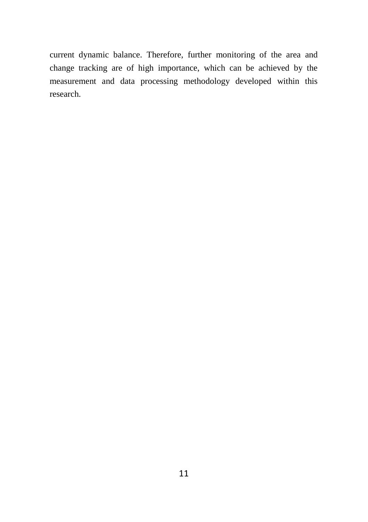current dynamic balance. Therefore, further monitoring of the area and change tracking are of high importance, which can be achieved by the measurement and data processing methodology developed within this research.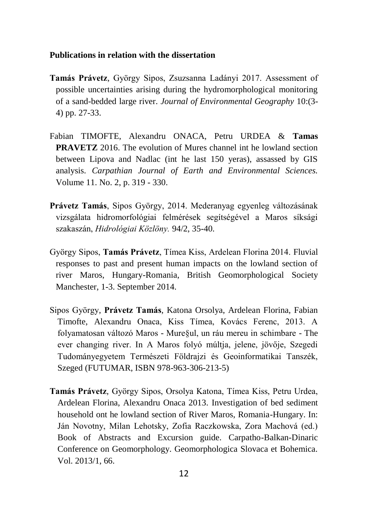#### **Publications in relation with the dissertation**

- **Tamás Právetz**, György Sipos, Zsuzsanna Ladányi 2017. Assessment of possible uncertainties arising during the hydromorphological monitoring of a sand-bedded large river. *Journal of Environmental Geography* 10:(3- 4) pp. 27-33.
- Fabian TIMOFTE, Alexandru ONACA, Petru URDEA & **Tamas PRAVETZ** 2016. The evolution of Mures channel int he lowland section between Lipova and Nadlac (int he last 150 yeras), assassed by GIS analysis. *Carpathian Journal of Earth and Environmental Sciences.*  Volume 11. No. 2, p. 319 - 330.
- **Právetz Tamás**, Sipos György, 2014. Mederanyag egyenleg változásának vizsgálata hidromorfológiai felmérések segítségével a Maros síksági szakaszán, *Hidrológiai Közlöny.* 94/2, 35-40.
- György Sipos, **Tamás Právetz**, Tímea Kiss, Ardelean Florina 2014. Fluvial responses to past and present human impacts on the lowland section of river Maros, Hungary-Romania, British Geomorphological Society Manchester, 1-3. September 2014.
- Sipos György, **Právetz Tamás**, Katona Orsolya, Ardelean Florina, Fabian Timofte, Alexandru Onaca, Kiss Tímea, Kovács Ferenc, 2013. A folyamatosan változó Maros - Mure§ul, un ráu mereu in schimbare - The ever changing river. In A Maros folyó múltja, jelene, jövője, Szegedi Tudományegyetem Természeti Földrajzi és Geoinformatikai Tanszék, Szeged (FUTUMAR, ISBN 978-963-306-213-5)
- **Tamás Právetz**, György Sipos, Orsolya Katona, Tímea Kiss, Petru Urdea, Ardelean Florina, Alexandru Onaca 2013. Investigation of bed sediment household ont he lowland section of River Maros, Romania-Hungary. In: Ján Novotny, Milan Lehotsky, Zofia Raczkowska, Zora Machová (ed.) Book of Abstracts and Excursion guide. Carpatho-Balkan-Dinaric Conference on Geomorphology. Geomorphologica Slovaca et Bohemica. Vol. 2013/1, 66.